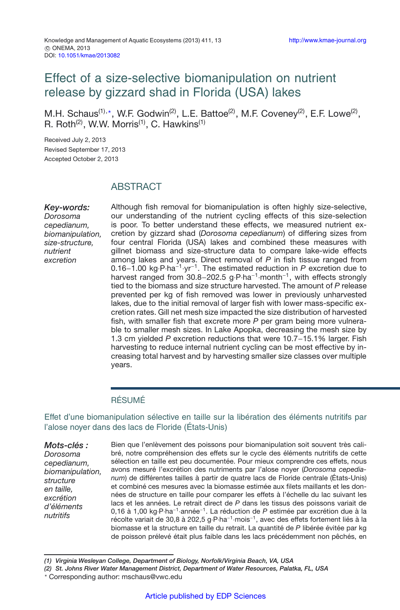# Effect of a size-selective biomanipulation on nutrient release by gizzard shad in Florida (USA) lakes

M.H. Schaus<sup>(1),\*</sup>, W.F. Godwin<sup>(2)</sup>, L.E. Battoe<sup>(2)</sup>, M.F. Coveney<sup>(2)</sup>, E.F. Lowe<sup>(2)</sup>, R. Roth<sup>(2)</sup>, W.W. Morris<sup>(1)</sup>, C. Hawkins<sup>(1)</sup>

Received July 2, 2013 Revised September 17, 2013 Accepted October 2, 2013

## ABSTRACT

*Key-words: Dorosoma cepedianum, biomanipulation, size-structure, nutrient excretion*

Although fish removal for biomanipulation is often highly size-selective, our understanding of the nutrient cycling effects of this size-selection is poor. To better understand these effects, we measured nutrient excretion by gizzard shad (*Dorosoma cepedianum*) of differing sizes from four central Florida (USA) lakes and combined these measures with gillnet biomass and size-structure data to compare lake-wide effects among lakes and years. Direct removal of *P* in fish tissue ranged from 0.16−1.00 kg·P·ha−<sup>1</sup>·yr−1. The estimated reduction in *<sup>P</sup>* excretion due to harvest ranged from 30.8–202.5 g⋅P⋅ha<sup>-1</sup>⋅month<sup>-1</sup>, with effects strongly tied to the biomass and size structure harvested. The amount of *P* release prevented per kg of fish removed was lower in previously unharvested lakes, due to the initial removal of larger fish with lower mass-specific excretion rates. Gill net mesh size impacted the size distribution of harvested fish, with smaller fish that excrete more *P* per gram being more vulnerable to smaller mesh sizes. In Lake Apopka, decreasing the mesh size by 1.3 cm yielded *P* excretion reductions that were 10.7−15.1% larger. Fish harvesting to reduce internal nutrient cycling can be most effective by increasing total harvest and by harvesting smaller size classes over multiple years.

### RÉSUMÉ

Effet d'une biomanipulation sélective en taille sur la libération des éléments nutritifs par l'alose noyer dans des lacs de Floride (États-Unis)

*Mots-clés : Dorosoma cepedianum, biomanipulation, structure en taille, excrétion d'éléments nutritifs*

Bien que l'enlèvement des poissons pour biomanipulation soit souvent très calibré, notre compréhension des effets sur le cycle des éléments nutritifs de cette sélection en taille est peu documentée. Pour mieux comprendre ces effets, nous avons mesuré l'excrétion des nutriments par l'alose noyer (*Dorosoma cepedianum*) de différentes tailles à partir de quatre lacs de Floride centrale (États-Unis) et combiné ces mesures avec la biomasse estimée aux filets maillants et les données de structure en taille pour comparer les effets à l'échelle du lac suivant les lacs et les années. Le retrait direct de *P* dans les tissus des poissons variait de 0,16 à 1,00 kg·P·ha−<sup>1</sup>·année−1. La réduction de *P* estimée par excrétion due à la récolte variait de 30,8 à 202,5 g·P·ha−<sup>1</sup>·mois−1, avec des effets fortement liés à la biomasse et la structure en taille du retrait. La quantité de *P* libérée évitée par kg de poisson prélevé était plus faible dans les lacs précédemment non pêchés, en

*<sup>(1)</sup> Virginia Wesleyan College, Department of Biology, Norfolk/Virginia Beach, VA, USA*

*<sup>(2)</sup> St. Johns River Water Management District, Department of Water Resources, Palatka, FL, USA*

<sup>-</sup> Corresponding author: mschaus@vwc.edu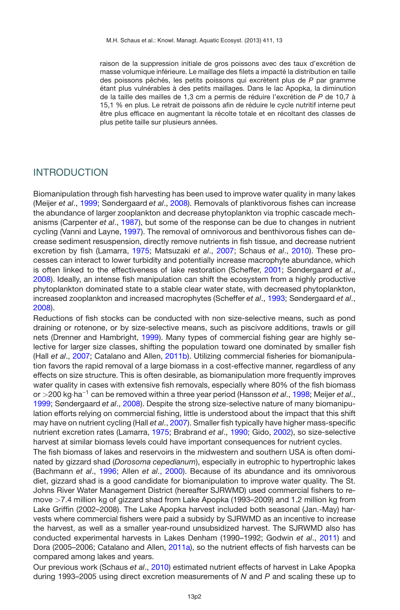raison de la suppression initiale de gros poissons avec des taux d'excrétion de masse volumique inférieure. Le maillage des filets a impacté la distribution en taille des poissons pêchés, les petits poissons qui excrètent plus de *P* par gramme étant plus vulnérables à des petits maillages. Dans le lac Apopka, la diminution de la taille des mailles de 1,3 cm a permis de réduire l'excrétion de *P* de 10,7 à 15,1 % en plus. Le retrait de poissons afin de réduire le cycle nutritif interne peut être plus efficace en augmentant la récolte totale et en récoltant des classes de plus petite taille sur plusieurs années.

## INTRODUCTION

Biomanipulation through fish harvesting has been used to improve water quality in many lakes (Meijer *et al*., [1999](#page-14-0); Søndergaard *et al*., [2008](#page-15-0)). Removals of planktivorous fishes can increase the abundance of larger zooplankton and decrease phytoplankton via trophic cascade mechanisms (Carpenter *et al*., [1987\)](#page-13-0), but some of the response can be due to changes in nutrient cycling (Vanni and Layne, [1997\)](#page-15-1). The removal of omnivorous and benthivorous fishes can decrease sediment resuspension, directly remove nutrients in fish tissue, and decrease nutrient excretion by fish (Lamarra, [1975;](#page-14-1) Matsuzaki *et al*., [2007](#page-14-2); Schaus *et al*., [2010](#page-15-2)). These processes can interact to lower turbidity and potentially increase macrophyte abundance, which is often linked to the effectiveness of lake restoration (Scheffer, [2001](#page-15-3); Søndergaard *et al*., [2008\)](#page-15-0). Ideally, an intense fish manipulation can shift the ecosystem from a highly productive phytoplankton dominated state to a stable clear water state, with decreased phytoplankton, increased zooplankton and increased macrophytes (Scheffer *et al*., [1993;](#page-15-4) Søndergaard *et al*., [2008\)](#page-15-0).

Reductions of fish stocks can be conducted with non size-selective means, such as pond draining or rotenone, or by size-selective means, such as piscivore additions, trawls or gill nets (Drenner and Hambright, [1999\)](#page-14-3). Many types of commercial fishing gear are highly selective for larger size classes, shifting the population toward one dominated by smaller fish (Hall *et al*., [2007;](#page-14-4) Catalano and Allen, [2011b\)](#page-14-5). Utilizing commercial fisheries for biomanipulation favors the rapid removal of a large biomass in a cost-effective manner, regardless of any effects on size structure. This is often desirable, as biomanipulation more frequently improves water quality in cases with extensive fish removals, especially where 80% of the fish biomass or *<sup>&</sup>gt;*200 kg·ha−<sup>1</sup> can be removed within a three year period (Hansson *et al*., [1998](#page-14-6); Meijer *et al*., [1999;](#page-14-0) Søndergaard *et al*., [2008](#page-15-0)). Despite the strong size-selective nature of many biomanipulation efforts relying on commercial fishing, little is understood about the impact that this shift may have on nutrient cycling (Hall *et al*., [2007](#page-14-4)). Smaller fish typically have higher mass-specific nutrient excretion rates (Lamarra, [1975;](#page-14-1) Brabrand *et al*., [1990;](#page-13-1) Gido, [2002](#page-14-7)), so size-selective harvest at similar biomass levels could have important consequences for nutrient cycles.

The fish biomass of lakes and reservoirs in the midwestern and southern USA is often dominated by gizzard shad (*Dorosoma cepedianum*), especially in eutrophic to hypertrophic lakes (Bachmann *et al*., [1996;](#page-13-2) Allen *et al*., [2000](#page-13-3)). Because of its abundance and its omnivorous diet, gizzard shad is a good candidate for biomanipulation to improve water quality. The St. Johns River Water Management District (hereafter SJRWMD) used commercial fishers to remove *>*7.4 million kg of gizzard shad from Lake Apopka (1993–2009) and 1.2 million kg from Lake Griffin (2002–2008). The Lake Apopka harvest included both seasonal (Jan.-May) harvests where commercial fishers were paid a subsidy by SJRWMD as an incentive to increase the harvest, as well as a smaller year-round unsubsidized harvest. The SJRWMD also has conducted experimental harvests in Lakes Denham (1990–1992; Godwin *et al*., [2011](#page-14-8)) and Dora (2005–2006; Catalano and Allen, [2011a\)](#page-14-9), so the nutrient effects of fish harvests can be compared among lakes and years.

Our previous work (Schaus *et al*., [2010](#page-15-2)) estimated nutrient effects of harvest in Lake Apopka during 1993–2005 using direct excretion measurements of *N* and *P* and scaling these up to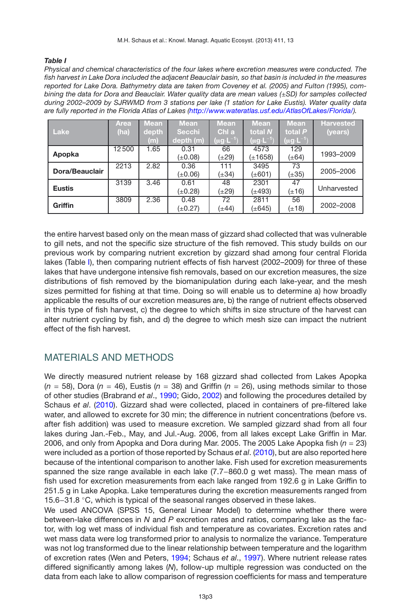### <span id="page-2-0"></span>*Table I*

*Physical and chemical characteristics of the four lakes where excretion measures were conducted. The fish harvest in Lake Dora included the adjacent Beauclair basin, so that basin is included in the measures reported for Lake Dora. Bathymetry data are taken from Coveney et al. (2005) and Fulton (1995), combining the data for Dora and Beauclair. Water quality data are mean values (*±*SD) for samples collected during 2002–2009 by SJRWMD from 3 stations per lake (1 station for Lake Eustis). Water quality data are fully reported in the Florida Atlas of Lakes [\(http://www.wateratlas.usf.edu/AtlasOfLakes/Florida/\)](http://www.wateratlas.usf.edu/AtlasOfLakes/Florida/).*

| Lake           | <b>Area</b><br>(ha) | Mean<br>depth<br>(m) | <b>Mean</b><br><b>Secchi</b><br>depth (m) | <b>Mean</b><br>Chl a<br>$(\mu g \mathord{\cdot} \mathsf{L}^{-1})$ | <b>Mean</b><br>total N<br>(µց $\cdot$ L $^{-1})$ | <b>Mean</b><br>total P<br>(µg $\cdot$ L $^{-1})$ | <b>Harvested</b><br>(years) |
|----------------|---------------------|----------------------|-------------------------------------------|-------------------------------------------------------------------|--------------------------------------------------|--------------------------------------------------|-----------------------------|
| Apopka         | 12500               | 1.65                 | 0.31<br>(±0.08)                           | 66<br>$(\pm 29)$                                                  | 4573<br>(±1658)                                  | 129<br>(±64)                                     | 1993-2009                   |
| Dora/Beauclair | 2213                | 2.82                 | 0.36<br>(±0.06)                           | 111<br>$(\pm 34)$                                                 | 3495<br>(±601)                                   | 73<br>$(\pm 35)$                                 | 2005-2006                   |
| <b>Eustis</b>  | 3139                | 3.46                 | 0.61<br>(±0.28)                           | 48<br>$(\pm 29)$                                                  | 2301<br>(±493)                                   | 47<br>(±16)                                      | Unharvested                 |
| <b>Griffin</b> | 3809                | 2.36                 | 0.48<br>$(\pm 0.27)$                      | 72<br>$(\pm 44)$                                                  | 2811<br>(±645)                                   | 56<br>(±18)                                      | 2002-2008                   |

the entire harvest based only on the mean mass of gizzard shad collected that was vulnerable to gill nets, and not the specific size structure of the fish removed. This study builds on our previous work by comparing nutrient excretion by gizzard shad among four central Florida lakes (Table [I\)](#page-2-0), then comparing nutrient effects of fish harvest (2002–2009) for three of these lakes that have undergone intensive fish removals, based on our excretion measures, the size distributions of fish removed by the biomanipulation during each lake-year, and the mesh sizes permitted for fishing at that time. Doing so will enable us to determine a) how broadly applicable the results of our excretion measures are, b) the range of nutrient effects observed in this type of fish harvest, c) the degree to which shifts in size structure of the harvest can alter nutrient cycling by fish, and d) the degree to which mesh size can impact the nutrient effect of the fish harvest.

## MATERIALS AND METHODS

We directly measured nutrient release by 168 gizzard shad collected from Lakes Apopka  $(n = 58)$ , Dora  $(n = 46)$ , Eustis  $(n = 38)$  and Griffin  $(n = 26)$ , using methods similar to those of other studies (Brabrand *et al*., [1990](#page-13-1); Gido, [2002](#page-14-7)) and following the procedures detailed by Schaus *et al*. [\(2010\)](#page-15-2). Gizzard shad were collected, placed in containers of pre-filtered lake water, and allowed to excrete for 30 min; the difference in nutrient concentrations (before vs. after fish addition) was used to measure excretion. We sampled gizzard shad from all four lakes during Jan.-Feb., May, and Jul.-Aug. 2006, from all lakes except Lake Griffin in Mar. 2006, and only from Apopka and Dora during Mar. 2005. The 2005 Lake Apopka fish (*n* = 23) were included as a portion of those reported by Schaus *et al*. [\(2010\)](#page-15-2), but are also reported here because of the intentional comparison to another lake. Fish used for excretion measurements spanned the size range available in each lake (7.7–860.0 g wet mass). The mean mass of fish used for excretion measurements from each lake ranged from 192.6 g in Lake Griffin to 251.5 g in Lake Apopka. Lake temperatures during the excretion measurements ranged from 15.6−31.8 ◦C, which is typical of the seasonal ranges observed in these lakes.

We used ANCOVA (SPSS 15, General Linear Model) to determine whether there were between-lake differences in *N* and *P* excretion rates and ratios, comparing lake as the factor, with log wet mass of individual fish and temperature as covariates. Excretion rates and wet mass data were log transformed prior to analysis to normalize the variance. Temperature was not log transformed due to the linear relationship between temperature and the logarithm of excretion rates (Wen and Peters, [1994](#page-15-5); Schaus *et al*., [1997](#page-15-6)). Where nutrient release rates differed significantly among lakes (*N*), follow-up multiple regression was conducted on the data from each lake to allow comparison of regression coefficients for mass and temperature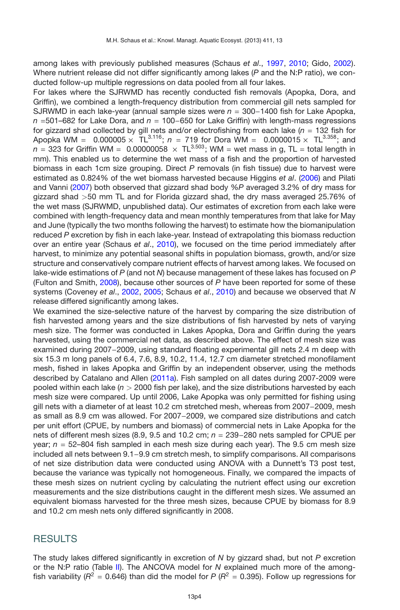among lakes with previously published measures (Schaus *et al*., [1997](#page-15-6), [2010](#page-15-2); Gido, [2002](#page-14-7)). Where nutrient release did not differ significantly among lakes (*P* and the N:P ratio), we conducted follow-up multiple regressions on data pooled from all four lakes.

For lakes where the SJRWMD has recently conducted fish removals (Apopka, Dora, and Griffin), we combined a length-frequency distribution from commercial gill nets sampled for SJRWMD in each lake-year (annual sample sizes were *n* = 300−1400 fish for Lake Apopka, *n* =501–682 for Lake Dora, and *n* = 100−650 for Lake Griffin) with length-mass regressions for gizzard shad collected by gill nets and/or electrofishing from each lake (*n* = 132 fish for Apopka WM =  $0.000005 \times \text{TL}^{3.116}$ ;  $n = 719$  for Dora WM =  $0.0000015 \times \text{TL}^{3.358}$ ; and  $n = 323$  for Griffin WM =  $0.00000058 \times TL^{3.503}$ ; WM = wet mass in g, TL = total length in mm). This enabled us to determine the wet mass of a fish and the proportion of harvested biomass in each 1cm size grouping. Direct *P* removals (in fish tissue) due to harvest were estimated as 0.824% of the wet biomass harvested because Higgins *et al*. [\(2006](#page-14-10)) and Pilati and Vanni [\(2007](#page-15-7)) both observed that gizzard shad body %*P* averaged 3.2% of dry mass for gizzard shad *>*50 mm TL and for Florida gizzard shad, the dry mass averaged 25.76% of the wet mass (SJRWMD, unpublished data). Our estimates of excretion from each lake were combined with length-frequency data and mean monthly temperatures from that lake for May and June (typically the two months following the harvest) to estimate how the biomanipulation reduced *P* excretion by fish in each lake-year. Instead of extrapolating this biomass reduction over an entire year (Schaus *et al*., [2010](#page-15-2)), we focused on the time period immediately after harvest, to minimize any potential seasonal shifts in population biomass, growth, and/or size structure and conservatively compare nutrient effects of harvest among lakes. We focused on lake-wide estimations of *P* (and not *N*) because management of these lakes has focused on *P* (Fulton and Smith, [2008\)](#page-14-11), because other sources of *P* have been reported for some of these systems (Coveney *et al*., [2002](#page-14-12), [2005;](#page-14-13) Schaus *et al*., [2010](#page-15-2)) and because we observed that *N* release differed significantly among lakes.

We examined the size-selective nature of the harvest by comparing the size distribution of fish harvested among years and the size distributions of fish harvested by nets of varying mesh size. The former was conducted in Lakes Apopka, Dora and Griffin during the years harvested, using the commercial net data, as described above. The effect of mesh size was examined during 2007−2009, using standard floating experimental gill nets 2.4 m deep with six 15.3 m long panels of 6.4, 7.6, 8.9, 10.2, 11.4, 12.7 cm diameter stretched monofilament mesh, fished in lakes Apopka and Griffin by an independent observer, using the methods described by Catalano and Allen [\(2011a](#page-14-9)). Fish sampled on all dates during 2007-2009 were pooled within each lake (*n >* 2000 fish per lake), and the size distributions harvested by each mesh size were compared. Up until 2006, Lake Apopka was only permitted for fishing using gill nets with a diameter of at least 10.2 cm stretched mesh, whereas from 2007−2009, mesh as small as 8.9 cm was allowed. For 2007−2009, we compared size distributions and catch per unit effort (CPUE, by numbers and biomass) of commercial nets in Lake Apopka for the nets of different mesh sizes (8.9, 9.5 and 10.2 cm; *n* = 239−280 nets sampled for CPUE per year; *n* = 52–804 fish sampled in each mesh size during each year). The 9.5 cm mesh size included all nets between 9.1−9.9 cm stretch mesh, to simplify comparisons. All comparisons of net size distribution data were conducted using ANOVA with a Dunnett's T3 post test, because the variance was typically not homogeneous. Finally, we compared the impacts of these mesh sizes on nutrient cycling by calculating the nutrient effect using our excretion measurements and the size distributions caught in the different mesh sizes. We assumed an equivalent biomass harvested for the three mesh sizes, because CPUE by biomass for 8.9 and 10.2 cm mesh nets only differed significantly in 2008.

## RESULTS

The study lakes differed significantly in excretion of *N* by gizzard shad, but not *P* excretion or the N:P ratio (Table [II\)](#page-4-0). The ANCOVA model for *N* explained much more of the amongfish variability ( $R^2 = 0.646$ ) than did the model for  $P (R^2 = 0.395)$ . Follow up regressions for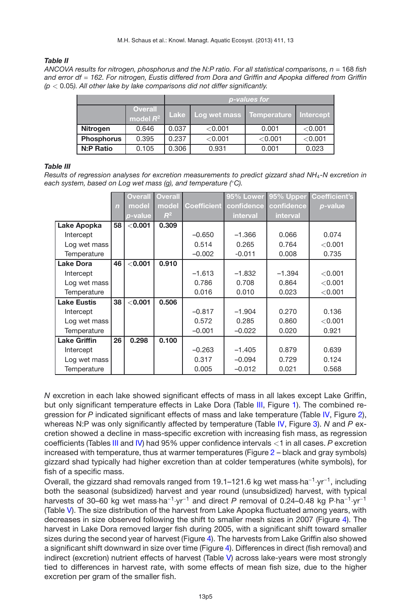### <span id="page-4-0"></span>*Table II*

*ANCOVA results for nitrogen, phosphorus and the N:P ratio. For all statistical comparisons, n* = 168 *fish and error df* = *162. For nitrogen, Eustis differed from Dora and Griffin and Apopka differed from Griffin (p <* 0.05*). All other lake by lake comparisons did not differ significantly.*

|                   |                               | p-values for |              |             |           |  |  |  |  |  |
|-------------------|-------------------------------|--------------|--------------|-------------|-----------|--|--|--|--|--|
|                   | <b>Overall</b><br>model $R^2$ | Lake         | Log wet mass | Temperature | Intercept |  |  |  |  |  |
| Nitrogen          | 0.646                         | 0.037        | < 0.001      | 0.001       | < 0.001   |  |  |  |  |  |
| <b>Phosphorus</b> | 0.395                         | 0.237        | $<$ 0.001    | < 0.001     | < 0.001   |  |  |  |  |  |
| <b>N:P Ratio</b>  | 0.105                         | 0.306        | 0.931        | 0.001       | 0.023     |  |  |  |  |  |

### <span id="page-4-1"></span>*Table III*

*Results of regression analyses for excretion measurements to predict gizzard shad NH*4*-N excretion in each system, based on Log wet mass (g), and temperature (*◦*C).*

|                     |                         | <b>Overall</b> | <b>Overall</b> |                    | 95% Lower  | 95% Upper       | Coefficient's |
|---------------------|-------------------------|----------------|----------------|--------------------|------------|-----------------|---------------|
|                     | $\overline{\mathbf{n}}$ | model          | model          | <b>Coefficient</b> | confidence | confidence      | p-value       |
|                     |                         | p-value        | $R^2$          |                    | interval   | <b>interval</b> |               |
| Lake Apopka         | 58                      | $<$ 0.001      | 0.309          |                    |            |                 |               |
| Intercept           |                         |                |                | $-0.650$           | $-1.366$   | 0.066           | 0.074         |
| Log wet mass        |                         |                |                | 0.514              | 0.265      | 0.764           | < 0.001       |
| Temperature         |                         |                |                | $-0.002$           | $-0.011$   | 0.008           | 0.735         |
| <b>Lake Dora</b>    | 46                      | $<$ 0.001      | 0.910          |                    |            |                 |               |
| Intercept           |                         |                |                | $-1.613$           | $-1.832$   | $-1.394$        | < 0.001       |
| Log wet mass        |                         |                |                | 0.786              | 0.708      | 0.864           | < 0.001       |
| Temperature         |                         |                |                | 0.016              | 0.010      | 0.023           | < 0.001       |
| <b>Lake Eustis</b>  | 38                      | $<$ 0.001      | 0.506          |                    |            |                 |               |
| Intercept           |                         |                |                | $-0.817$           | $-1.904$   | 0.270           | 0.136         |
| Log wet mass        |                         |                |                | 0.572              | 0.285      | 0.860           | < 0.001       |
| Temperature         |                         |                |                | $-0.001$           | $-0.022$   | 0.020           | 0.921         |
| <b>Lake Griffin</b> | 26                      | 0.298          | 0.100          |                    |            |                 |               |
| Intercept           |                         |                |                | $-0.263$           | $-1.405$   | 0.879           | 0.639         |
| Log wet mass        |                         |                |                | 0.317              | $-0.094$   | 0.729           | 0.124         |
| Temperature         |                         |                |                | 0.005              | $-0.012$   | 0.021           | 0.568         |

*N* excretion in each lake showed significant effects of mass in all lakes except Lake Griffin, but only significant temperature effects in Lake Dora (Table [III,](#page-4-1) Figure [1\)](#page-5-0). The combined regression for *P* indicated significant effects of mass and lake temperature (Table [IV,](#page-5-1) Figure [2\)](#page-6-0), whereas N:P was only significantly affected by temperature (Table [IV,](#page-5-1) Figure [3\)](#page-6-1). *N* and *P* excretion showed a decline in mass-specific excretion with increasing fish mass, as regression coefficients (Tables [III](#page-4-1) and [IV\)](#page-5-1) had 95% upper confidence intervals *<*1 in all cases. *P* excretion increased with temperature, thus at warmer temperatures (Figure [2](#page-6-0) – black and gray symbols) gizzard shad typically had higher excretion than at colder temperatures (white symbols), for fish of a specific mass.

Overall, the gizzard shad removals ranged from 19.1–121.6 kg wet mass·ha−<sup>1</sup>·yr−1, including both the seasonal (subsidized) harvest and year round (unsubsidized) harvest, with typical harvests of 30–60 kg wet mass·ha−<sup>1</sup>·yr−<sup>1</sup> and direct *<sup>P</sup>* removal of 0.24–0.48 kg P·ha−<sup>1</sup>·yr−<sup>1</sup> (Table [V\)](#page-7-0). The size distribution of the harvest from Lake Apopka fluctuated among years, with decreases in size observed following the shift to smaller mesh sizes in 2007 (Figure [4\)](#page-8-0). The harvest in Lake Dora removed larger fish during 2005, with a significant shift toward smaller sizes during the second year of harvest (Figure [4\)](#page-8-0). The harvests from Lake Griffin also showed a significant shift downward in size over time (Figure [4\)](#page-8-0). Differences in direct (fish removal) and indirect (excretion) nutrient effects of harvest (Table [V\)](#page-7-0) across lake-years were most strongly tied to differences in harvest rate, with some effects of mean fish size, due to the higher excretion per gram of the smaller fish.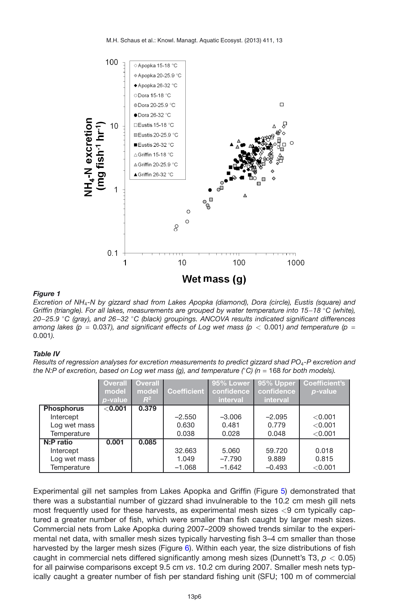<span id="page-5-0"></span>

*Excretion of NH*4*-N by gizzard shad from Lakes Apopka (diamond), Dora (circle), Eustis (square) and Griffin (triangle). For all lakes, measurements are grouped by water temperature into 15*−*18* ◦*C (white), 20*−*25.9* ◦*C (gray), and 26*−*32* ◦*C (black) groupings. ANCOVA results indicated significant differences among lakes (p* = 0.037*), and significant effects of Log wet mass (p <* 0.001*) and temperature (p* = 0.001*).*

#### <span id="page-5-1"></span>*Table IV*

*Results of regression analyses for excretion measurements to predict gizzard shad PO*4*-P excretion and the N:P of excretion, based on Log wet mass (g), and temperature (*◦*C) (n* = 168 *for both models).*

|                   | <b>Overall</b><br>model<br><i>p</i> -value | Overall<br>model<br>$R^2$ | <b>Coefficient</b> | 95% Lower<br>confidence<br>interval | 95% Upper<br>confidence<br>interval | <b>Coefficient's</b><br><i>p</i> -value |
|-------------------|--------------------------------------------|---------------------------|--------------------|-------------------------------------|-------------------------------------|-----------------------------------------|
| <b>Phosphorus</b> | $<$ 0.001                                  | 0.379                     |                    |                                     |                                     |                                         |
| Intercept         |                                            |                           | $-2.550$           | $-3.006$                            | $-2.095$                            | < 0.001                                 |
| Log wet mass      |                                            |                           | 0.630              | 0.481                               | 0.779                               | < 0.001                                 |
| Temperature       |                                            |                           | 0.038              | 0.028                               | 0.048                               | < 0.001                                 |
| N:P ratio         | 0.001                                      | 0.085                     |                    |                                     |                                     |                                         |
| Intercept         |                                            |                           | 32.663             | 5.060                               | 59.720                              | 0.018                                   |
| Log wet mass      |                                            |                           | 1.049              | $-7.790$                            | 9.889                               | 0.815                                   |
| Temperature       |                                            |                           | $-1.068$           | $-1.642$                            | $-0.493$                            | < 0.001                                 |

Experimental gill net samples from Lakes Apopka and Griffin (Figure [5\)](#page-9-0) demonstrated that there was a substantial number of gizzard shad invulnerable to the 10.2 cm mesh gill nets most frequently used for these harvests, as experimental mesh sizes *<*9 cm typically captured a greater number of fish, which were smaller than fish caught by larger mesh sizes. Commercial nets from Lake Apopka during 2007–2009 showed trends similar to the experimental net data, with smaller mesh sizes typically harvesting fish 3–4 cm smaller than those harvested by the larger mesh sizes (Figure [6\)](#page-10-0). Within each year, the size distributions of fish caught in commercial nets differed significantly among mesh sizes (Dunnett's T3, *p <* 0.05) for all pairwise comparisons except 9.5 cm *vs*. 10.2 cm during 2007. Smaller mesh nets typically caught a greater number of fish per standard fishing unit (SFU; 100 m of commercial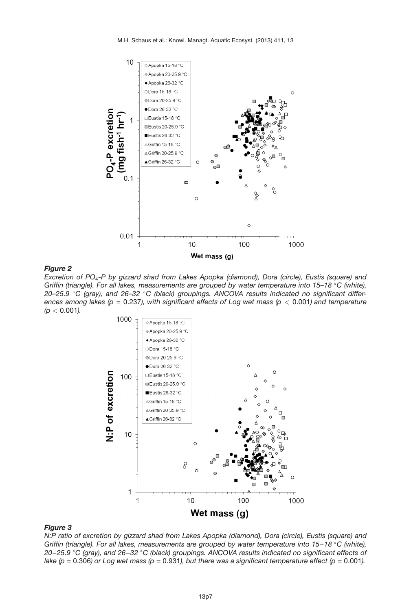<span id="page-6-0"></span>

*Excretion of PO*4*-P by gizzard shad from Lakes Apopka (diamond), Dora (circle), Eustis (square) and Griffin (triangle). For all lakes, measurements are grouped by water temperature into 15–18* ◦*C (white), 20–25.9* ◦*C (gray), and 26–32* ◦*C (black) groupings. ANCOVA results indicated no significant differences among lakes (p = 0.237), with significant effects of Log wet mass (* $p < 0.001$ *) and temperature (p <* 0.001*).*

<span id="page-6-1"></span>

#### *Figure 3*

*N:P ratio of excretion by gizzard shad from Lakes Apopka (diamond), Dora (circle), Eustis (square) and Griffin (triangle). For all lakes, measurements are grouped by water temperature into 15*−*18* ◦*C (white), 20*−*25.9* ◦*C (gray), and 26*−*32* ◦*C (black) groupings. ANCOVA results indicated no significant effects of lake (p = 0.306) or Log wet mass (p = 0.931), but there was a significant temperature effect (p = 0.001).*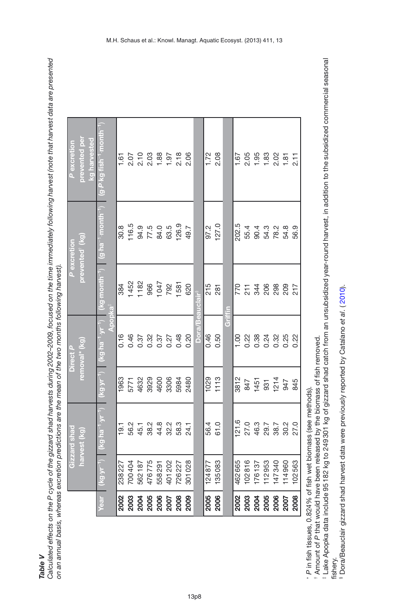<span id="page-7-0"></span>*Table V*

Calculated effects on the P cycle of the gizzard shad harvests during 2002-2009, focused on the time immediately following harvest (note that harvest data are presented Calculated effects on the P cycle of the gizzard shad harvests during 2002-2009, focused on the time immediately following harvest (note that harvest data are presented on an annual basis, whereas excretion predictions are the mean of the two months following harvest). on an annual basis, whereas excretion predictions are the mean of the two months following harvest).

| <b>P</b> excretion | prevented per  | kg harvested | $-$ mont<br>g.P.kg.fish |                     |                                      |                                                                         |              | 1.61                                            |                            |        | $\begin{array}{l} 0.7688780 \\ 0.7688780 \\ 0.7688780 \\ 0.7688780 \\ 0.76880 \\ 0.76880 \\ 0.76880 \\ 0.76880 \\ 0.76880 \\ 0.76880 \\ 0.76880 \\ 0.76880 \\ 0.76880 \\ 0.76880 \\ 0.76880 \\ 0.76880 \\ 0.76880 \\ 0.76880 \\ 0.76880 \\ 0.76880 \\ 0.76880 \\ 0.76880 \\ 0.7688$ |                     |          |            |        |         |             | $1.72$<br>2.08                                          |        | 1.67                               | 2.05   |        | $1.88$<br>$1.83$<br>$2.84$<br>$1.7$<br>$2.7$ |  |  |  |  |
|--------------------|----------------|--------------|-------------------------|---------------------|--------------------------------------|-------------------------------------------------------------------------|--------------|-------------------------------------------------|----------------------------|--------|-------------------------------------------------------------------------------------------------------------------------------------------------------------------------------------------------------------------------------------------------------------------------------------|---------------------|----------|------------|--------|---------|-------------|---------------------------------------------------------|--------|------------------------------------|--------|--------|----------------------------------------------|--|--|--|--|
| Pexcretion         | prevented (kg) |              | nou <sub>L</sub> eq.b)  |                     | 30.8                                 |                                                                         |              | $116.5$<br>$94.9$<br>$75.0$<br>$83.5$<br>$63.5$ |                            |        | 126.9                                                                                                                                                                                                                                                                               | 49.7                |          | 97.2       | 127.0  |         | 202.5       |                                                         |        | 50 50 50<br>4 4 50 50<br>4 4 50 50 |        |        | 56.9                                         |  |  |  |  |
|                    |                | kg month)    |                         | 384                 | 1452<br>1182<br>1047<br>1581<br>1581 |                                                                         |              |                                                 |                            |        | 620                                                                                                                                                                                                                                                                                 | uclair <sup>s</sup> |          | 215<br>281 |        |         | $7.7888877$ |                                                         |        |                                    |        |        |                                              |  |  |  |  |
| Direct P           | removal* (kg)  |              | l∧g ha <sup>−</sup> v   | Apopka <sup>:</sup> | 0.16                                 | 0.46<br>0.37                                                            |              |                                                 | $0.37$<br>$0.37$<br>$0.48$ |        |                                                                                                                                                                                                                                                                                     | 0.20                | Dora/Bea | 0.46       | 0.50   | Griffin |             | 0.8838888                                               |        |                                    |        |        | 0.22                                         |  |  |  |  |
|                    |                |              | <b>IK BY</b>            |                     |                                      | 1963<br>5771<br>4632                                                    |              | 3929                                            | 4600                       | 3306   | 5984                                                                                                                                                                                                                                                                                | 2480                |          | 1029       | $1113$ |         | 3812        |                                                         |        | 847<br>1451<br>931<br>947<br>845   |        |        |                                              |  |  |  |  |
| <b>beds</b> p.     | st (kg)        |              | $kg$ -ha $^{-1}$        |                     | 19.1                                 |                                                                         | 56.2<br>45.1 |                                                 | 2<br>2012<br>2012<br>2013  |        |                                                                                                                                                                                                                                                                                     | $-24.1$             |          | 56.4       | 61.0   |         | 121.6       | 0<br>0 0 0 1 0<br>0 9 0 0 0 0<br>0 4 0 0 0 0 0          |        |                                    |        |        |                                              |  |  |  |  |
| Gizzar             | harve:         |              | IV.DX                   |                     | 238227                               | 700404                                                                  | 562187       | 476775                                          | 558291                     | 401202 | 726227                                                                                                                                                                                                                                                                              | 301028              |          | 124877     | 135083 |         | 462665      | 102816                                                  | 176137 | 112953                             | 147340 | 114960 | 102563                                       |  |  |  |  |
|                    |                |              | rear                    |                     |                                      | <u>ខ្លួ</u><br>ខ្លួន ខ្លួន ខ្លួន ខ្លួន ខ្លួន<br>ខ្លួន ខ្លួន ខ្លួន ខ្លួន |              |                                                 |                            |        |                                                                                                                                                                                                                                                                                     |                     |          | 2005       | 2006   |         |             | ខ្លួ<br>ខ្លួ ខ្លួ ខ្លួ ខ្លួ ខ្លួ<br>ខ្លួ ខ្លួ ខ្លួ ខ្លួ |        |                                    |        |        | 2008                                         |  |  |  |  |

P in fish tissues, 0.824% of fish wet biomass (see methods). *P* in fish tissues, 0.824% of fish wet biomass (see methods). † Amount of

∗

Amount of P that would have been released by the biomass of fish removed. that would have been released by the biomass of fish removed.

‡ Lake Apopka data include 95 182 kg to 249 301 kg of gizzard shad catch from an unsubsidized year-round harvest, in addition to the subsidized commercial seasonal  $^{\ast}$  Lake Apopka data include 95 182 kg to 249 301 kg of gizzard shad catch from an unsubsidized year-round harvest, in addition to the subsidized commercial seasonal fishery.

<sup>§</sup> Dora/Beauclair gizzard shad harvest data were previously reported by Catalano et al. (2010). Dora/Beauclair gizzard shad harvest data were previously reported by Catalano *et al*. ( [2010\)](#page-14-14).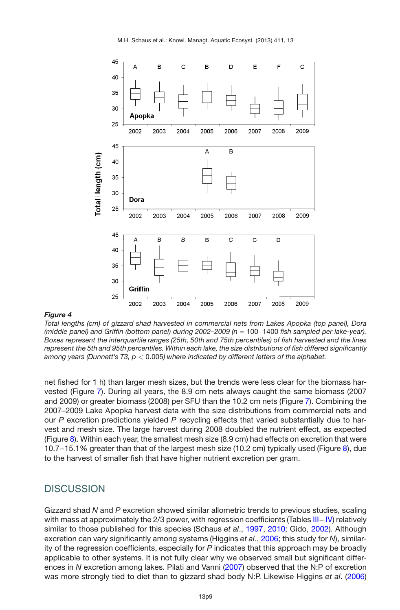<span id="page-8-0"></span>

*Total lengths (cm) of gizzard shad harvested in commercial nets from Lakes Apopka (top panel), Dora (middle panel) and Griffin (bottom panel) during 2002–2009 (n* = 100−1400 *fish sampled per lake-year). Boxes represent the interquartile ranges (25th, 50th and 75th percentiles) of fish harvested and the lines represent the 5th and 95th percentiles. Within each lake, the size distributions of fish differed significantly among years (Dunnett's T3, p <* 0.005*) where indicated by different letters of the alphabet.*

net fished for 1 h) than larger mesh sizes, but the trends were less clear for the biomass harvested (Figure [7\)](#page-11-0). During all years, the 8.9 cm nets always caught the same biomass (2007 and 2009) or greater biomass (2008) per SFU than the 10.2 cm nets (Figure [7\)](#page-11-0). Combining the 2007–2009 Lake Apopka harvest data with the size distributions from commercial nets and our *P* excretion predictions yielded *P* recycling effects that varied substantially due to harvest and mesh size. The large harvest during 2008 doubled the nutrient effect, as expected (Figure [8\)](#page-12-0). Within each year, the smallest mesh size (8.9 cm) had effects on excretion that were 10.7−15.1% greater than that of the largest mesh size (10.2 cm) typically used (Figure [8\)](#page-12-0), due to the harvest of smaller fish that have higher nutrient excretion per gram.

## **DISCUSSION**

Gizzard shad *N* and *P* excretion showed similar allometric trends to previous studies, scaling with mass at approximately the 2/3 power, with regression coefficients (Tables [III](#page-4-1)− [IV\)](#page-5-1) relatively similar to those published for this species (Schaus *et al*., [1997,](#page-15-6) [2010;](#page-15-2) Gido, [2002](#page-14-7)). Although excretion can vary significantly among systems (Higgins *et al*., [2006](#page-14-10); this study for *N*), similarity of the regression coefficients, especially for *P* indicates that this approach may be broadly applicable to other systems. It is not fully clear why we observed small but significant differences in *N* excretion among lakes. Pilati and Vanni [\(2007](#page-15-7)) observed that the N:P of excretion was more strongly tied to diet than to gizzard shad body N:P. Likewise Higgins *et al*. [\(2006](#page-14-10))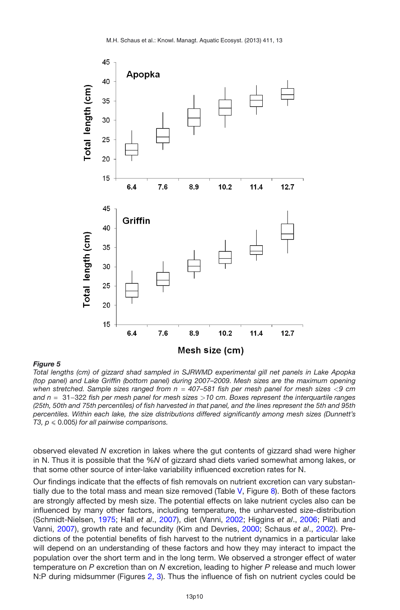

<span id="page-9-0"></span>*Total lengths (cm) of gizzard shad sampled in SJRWMD experimental gill net panels in Lake Apopka (top panel) and Lake Griffin (bottom panel) during 2007–2009. Mesh sizes are the maximum opening when stretched. Sample sizes ranged from n* = *407–581 fish per mesh panel for mesh sizes <9 cm and n* = 31−322 *fish per mesh panel for mesh sizes >10 cm. Boxes represent the interquartile ranges (25th, 50th and 75th percentiles) of fish harvested in that panel, and the lines represent the 5th and 95th percentiles. Within each lake, the size distributions differed significantly among mesh sizes (Dunnett's T3, p* ≤ 0.005) for all pairwise comparisons.

observed elevated *N* excretion in lakes where the gut contents of gizzard shad were higher in N. Thus it is possible that the %*N* of gizzard shad diets varied somewhat among lakes, or that some other source of inter-lake variability influenced excretion rates for N.

Our findings indicate that the effects of fish removals on nutrient excretion can vary substan-tially due to the total mass and mean size removed (Table [V,](#page-7-0) Figure [8\)](#page-12-0). Both of these factors are strongly affected by mesh size. The potential effects on lake nutrient cycles also can be influenced by many other factors, including temperature, the unharvested size-distribution (Schmidt-Nielsen, [1975](#page-15-8); Hall *et al*., [2007](#page-14-4)), diet (Vanni, [2002](#page-15-9); Higgins *et al*., [2006;](#page-14-10) Pilati and Vanni, [2007](#page-15-7)), growth rate and fecundity (Kim and Devries, [2000](#page-14-15); Schaus *et al*., [2002\)](#page-15-10). Predictions of the potential benefits of fish harvest to the nutrient dynamics in a particular lake will depend on an understanding of these factors and how they may interact to impact the population over the short term and in the long term. We observed a stronger effect of water temperature on *P* excretion than on *N* excretion, leading to higher *P* release and much lower N:P during midsummer (Figures [2,](#page-6-0) [3\)](#page-6-1). Thus the influence of fish on nutrient cycles could be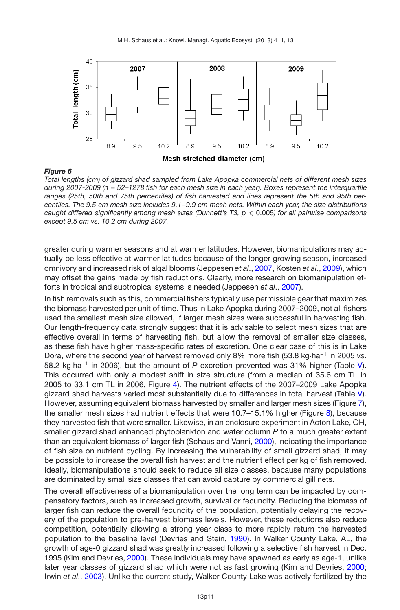<span id="page-10-0"></span>

*Total lengths (cm) of gizzard shad sampled from Lake Apopka commercial nets of different mesh sizes during 2007-2009 (n* = *52–1278 fish for each mesh size in each year). Boxes represent the interquartile ranges (25th, 50th and 75th percentiles) of fish harvested and lines represent the 5th and 95th percentiles. The 9.5 cm mesh size includes 9.1*−*9.9 cm mesh nets. Within each year, the size distributions caught differed significantly among mesh sizes (Dunnett's T3, p* - 0.005*) for all pairwise comparisons except 9.5 cm vs. 10.2 cm during 2007.*

greater during warmer seasons and at warmer latitudes. However, biomanipulations may actually be less effective at warmer latitudes because of the longer growing season, increased omnivory and increased risk of algal blooms (Jeppesen *et al*., [2007](#page-14-16), Kosten *et al*., [2009](#page-14-17)), which may offset the gains made by fish reductions. Clearly, more research on biomanipulation efforts in tropical and subtropical systems is needed (Jeppesen *et al*., [2007](#page-14-16)).

In fish removals such as this, commercial fishers typically use permissible gear that maximizes the biomass harvested per unit of time. Thus in Lake Apopka during 2007–2009, not all fishers used the smallest mesh size allowed, if larger mesh sizes were successful in harvesting fish. Our length-frequency data strongly suggest that it is advisable to select mesh sizes that are effective overall in terms of harvesting fish, but allow the removal of smaller size classes, as these fish have higher mass-specific rates of excretion. One clear case of this is in Lake Dora, where the second year of harvest removed only 8% more fish (53.8 kg·ha−<sup>1</sup> in 2005 *vs*. 58.2 kg·ha−<sup>1</sup> in 2006), but the amount of *<sup>P</sup>* excretion prevented was 31% higher (Table [V\)](#page-7-0). This occurred with only a modest shift in size structure (from a median of 35.6 cm TL in 2005 to 33.1 cm TL in 2006, Figure [4\)](#page-8-0). The nutrient effects of the 2007–2009 Lake Apopka gizzard shad harvests varied most substantially due to differences in total harvest (Table [V\)](#page-7-0). However, assuming equivalent biomass harvested by smaller and larger mesh sizes (Figure [7\)](#page-11-0), the smaller mesh sizes had nutrient effects that were 10.7–15.1% higher (Figure [8\)](#page-12-0), because they harvested fish that were smaller. Likewise, in an enclosure experiment in Acton Lake, OH, smaller gizzard shad enhanced phytoplankton and water column *P* to a much greater extent than an equivalent biomass of larger fish (Schaus and Vanni, [2000](#page-15-11)), indicating the importance of fish size on nutrient cycling. By increasing the vulnerability of small gizzard shad, it may be possible to increase the overall fish harvest and the nutrient effect per kg of fish removed. Ideally, biomanipulations should seek to reduce all size classes, because many populations are dominated by small size classes that can avoid capture by commercial gill nets.

The overall effectiveness of a biomanipulation over the long term can be impacted by compensatory factors, such as increased growth, survival or fecundity. Reducing the biomass of larger fish can reduce the overall fecundity of the population, potentially delaying the recovery of the population to pre-harvest biomass levels. However, these reductions also reduce competition, potentially allowing a strong year class to more rapidly return the harvested population to the baseline level (Devries and Stein, [1990](#page-14-18)). In Walker County Lake, AL, the growth of age-0 gizzard shad was greatly increased following a selective fish harvest in Dec. 1995 (Kim and Devries, [2000](#page-14-15)). These individuals may have spawned as early as age-1, unlike later year classes of gizzard shad which were not as fast growing (Kim and Devries, [2000](#page-14-15); Irwin *et al*., [2003](#page-14-19)). Unlike the current study, Walker County Lake was actively fertilized by the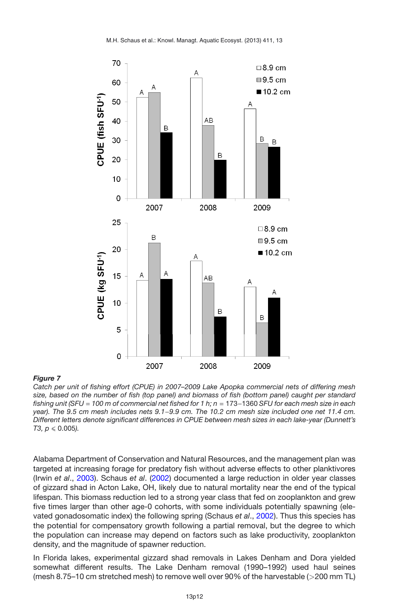

<span id="page-11-0"></span>*Catch per unit of fishing effort (CPUE) in 2007–2009 Lake Apopka commercial nets of differing mesh size, based on the number of fish (top panel) and biomass of fish (bottom panel) caught per standard fishing unit (SFU* = *100 m of commercial net fished for 1 h; n* = 173−1360 *SFU for each mesh size in each year). The 9.5 cm mesh includes nets 9.1*−*9.9 cm. The 10.2 cm mesh size included one net 11.4 cm. Different letters denote significant differences in CPUE between mesh sizes in each lake-year (Dunnett's T3, p* ≤ 0.005*)*.

Alabama Department of Conservation and Natural Resources, and the management plan was targeted at increasing forage for predatory fish without adverse effects to other planktivores (Irwin *et al*., [2003](#page-14-19)). Schaus *et al*. [\(2002\)](#page-15-10) documented a large reduction in older year classes of gizzard shad in Acton Lake, OH, likely due to natural mortality near the end of the typical lifespan. This biomass reduction led to a strong year class that fed on zooplankton and grew five times larger than other age-0 cohorts, with some individuals potentially spawning (elevated gonadosomatic index) the following spring (Schaus *et al*., [2002](#page-15-10)). Thus this species has the potential for compensatory growth following a partial removal, but the degree to which the population can increase may depend on factors such as lake productivity, zooplankton density, and the magnitude of spawner reduction.

In Florida lakes, experimental gizzard shad removals in Lakes Denham and Dora yielded somewhat different results. The Lake Denham removal (1990–1992) used haul seines (mesh 8.75–10 cm stretched mesh) to remove well over 90% of the harvestable (*>*200 mm TL)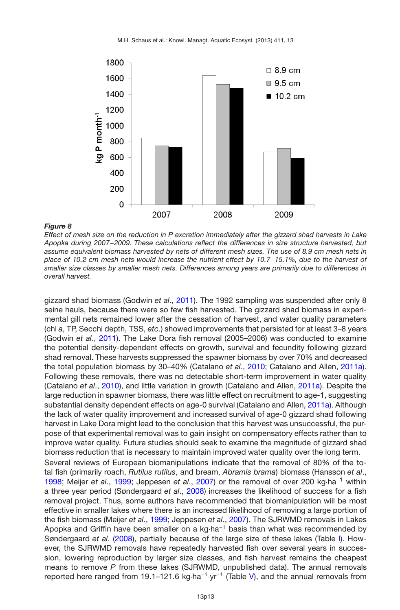<span id="page-12-0"></span>

*Effect of mesh size on the reduction in P excretion immediately after the gizzard shad harvests in Lake Apopka during 2007*−*2009. These calculations reflect the differences in size structure harvested, but assume equivalent biomass harvested by nets of different mesh sizes. The use of 8.9 cm mesh nets in place of 10.2 cm mesh nets would increase the nutrient effect by 10.7*−*15.1%, due to the harvest of smaller size classes by smaller mesh nets. Differences among years are primarily due to differences in overall harvest.*

gizzard shad biomass (Godwin *et al*., [2011](#page-14-8)). The 1992 sampling was suspended after only 8 seine hauls, because there were so few fish harvested. The gizzard shad biomass in experimental gill nets remained lower after the cessation of harvest, and water quality parameters (chl *a*, TP, Secchi depth, TSS, *etc*.) showed improvements that persisted for at least 3–8 years (Godwin *et al*., [2011](#page-14-8)). The Lake Dora fish removal (2005–2006) was conducted to examine the potential density-dependent effects on growth, survival and fecundity following gizzard shad removal. These harvests suppressed the spawner biomass by over 70% and decreased the total population biomass by 30–40% (Catalano *et al*., [2010](#page-14-14); Catalano and Allen, [2011a](#page-14-9)). Following these removals, there was no detectable short-term improvement in water quality (Catalano *et al*., [2010](#page-14-14)), and little variation in growth (Catalano and Allen, [2011a](#page-14-9)). Despite the large reduction in spawner biomass, there was little effect on recruitment to age-1, suggesting substantial density dependent effects on age-0 survival (Catalano and Allen, [2011a](#page-14-9)). Although the lack of water quality improvement and increased survival of age-0 gizzard shad following harvest in Lake Dora might lead to the conclusion that this harvest was unsuccessful, the purpose of that experimental removal was to gain insight on compensatory effects rather than to improve water quality. Future studies should seek to examine the magnitude of gizzard shad biomass reduction that is necessary to maintain improved water quality over the long term. Several reviews of European biomanipulations indicate that the removal of 80% of the total fish (primarily roach, *Rutilus rutilus*, and bream, *Abramis brama*) biomass (Hansson *et al*., [1998;](#page-14-6) Meijer *et al*., [1999](#page-14-0); Jeppesen *et al*., [2007\)](#page-14-16) or the removal of over 200 kg·ha−<sup>1</sup> within a three year period (Søndergaard *et al*., [2008](#page-15-0)) increases the likelihood of success for a fish removal project. Thus, some authors have recommended that biomanipulation will be most effective in smaller lakes where there is an increased likelihood of removing a large portion of the fish biomass (Meijer *et al*., [1999;](#page-14-0) Jeppesen *et al*., [2007](#page-14-16)). The SJRWMD removals in Lakes Apopka and Griffin have been smaller on a kg·ha−<sup>1</sup> basis than what was recommended by Søndergaard *et al*. [\(2008\)](#page-15-0), partially because of the large size of these lakes (Table [I\)](#page-2-0). However, the SJRWMD removals have repeatedly harvested fish over several years in succession, lowering reproduction by larger size classes, and fish harvest remains the cheapest means to remove *P* from these lakes (SJRWMD, unpublished data). The annual removals reported here ranged from 19.1–121.6 kg⋅ha<sup>-1</sup>⋅yr<sup>-1</sup> (Table [V\)](#page-7-0), and the annual removals from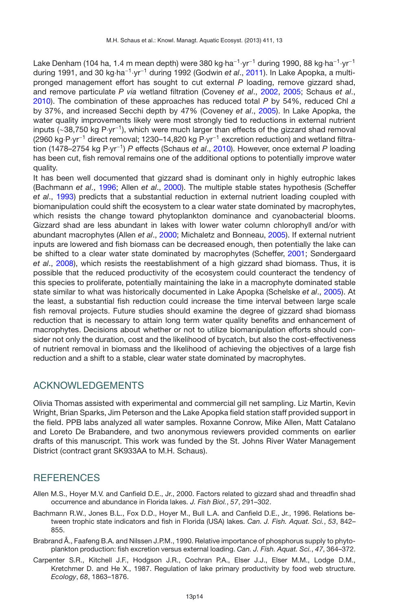Lake Denham (104 ha, 1.4 m mean depth) were 380 kg·ha−<sup>1</sup>·yr−<sup>1</sup> during 1990, 88 kg·ha−<sup>1</sup>·yr−<sup>1</sup> during 1991, and 30 kg·ha−<sup>1</sup>·yr−<sup>1</sup> during 1992 (Godwin *et al*., [2011](#page-14-8)). In Lake Apopka, a multipronged management effort has sought to cut external *P* loading, remove gizzard shad, and remove particulate *P via* wetland filtration (Coveney *et al*., [2002,](#page-14-12) [2005;](#page-14-13) Schaus *et al*., [2010\)](#page-15-2). The combination of these approaches has reduced total *P* by 54%, reduced Chl *a* by 37%, and increased Secchi depth by 47% (Coveney *et al*., [2005](#page-14-13)). In Lake Apopka, the water quality improvements likely were most strongly tied to reductions in external nutrient inputs (∼38,750 kg P·yr−1), which were much larger than effects of the gizzard shad removal (2960 kg·P·yr−<sup>1</sup> direct removal; 1230–14,820 kg P·yr−<sup>1</sup> excretion reduction) and wetland filtration (1478–2754 kg P·yr−1) *<sup>P</sup>* effects (Schaus *et al*., [2010](#page-15-2)). However, once external *<sup>P</sup>* loading has been cut, fish removal remains one of the additional options to potentially improve water quality.

It has been well documented that gizzard shad is dominant only in highly eutrophic lakes (Bachmann *et al*., [1996](#page-13-2); Allen *et al*., [2000](#page-13-3)). The multiple stable states hypothesis (Scheffer *et al*., [1993](#page-15-4)) predicts that a substantial reduction in external nutrient loading coupled with biomanipulation could shift the ecosystem to a clear water state dominated by macrophytes, which resists the change toward phytoplankton dominance and cyanobacterial blooms. Gizzard shad are less abundant in lakes with lower water column chlorophyll and/or with abundant macrophytes (Allen *et al*., [2000](#page-13-3); Michaletz and Bonneau, [2005](#page-15-12)). If external nutrient inputs are lowered and fish biomass can be decreased enough, then potentially the lake can be shifted to a clear water state dominated by macrophytes (Scheffer, [2001](#page-15-3); Søndergaard *et al*., [2008\)](#page-15-0), which resists the reestablishment of a high gizzard shad biomass. Thus, it is possible that the reduced productivity of the ecosystem could counteract the tendency of this species to proliferate, potentially maintaining the lake in a macrophyte dominated stable state similar to what was historically documented in Lake Apopka (Schelske *et al*., [2005](#page-15-13)). At the least, a substantial fish reduction could increase the time interval between large scale fish removal projects. Future studies should examine the degree of gizzard shad biomass reduction that is necessary to attain long term water quality benefits and enhancement of macrophytes. Decisions about whether or not to utilize biomanipulation efforts should consider not only the duration, cost and the likelihood of bycatch, but also the cost-effectiveness of nutrient removal in biomass and the likelihood of achieving the objectives of a large fish reduction and a shift to a stable, clear water state dominated by macrophytes.

## ACKNOWLEDGEMENTS

Olivia Thomas assisted with experimental and commercial gill net sampling. Liz Martin, Kevin Wright, Brian Sparks, Jim Peterson and the Lake Apopka field station staff provided support in the field. PPB labs analyzed all water samples. Roxanne Conrow, Mike Allen, Matt Catalano and Loreto De Brabandere, and two anonymous reviewers provided comments on earlier drafts of this manuscript. This work was funded by the St. Johns River Water Management District (contract grant SK933AA to M.H. Schaus).

## **REFERENCES**

- <span id="page-13-3"></span>Allen M.S., Hoyer M.V. and Canfield D.E., Jr., 2000. Factors related to gizzard shad and threadfin shad occurrence and abundance in Florida lakes. *J. Fish Biol.*, *57*, 291–302.
- <span id="page-13-2"></span>Bachmann R.W., Jones B.L., Fox D.D., Hoyer M., Bull L.A. and Canfield D.E., Jr., 1996. Relations between trophic state indicators and fish in Florida (USA) lakes. *Can. J. Fish. Aquat. Sci.*, *53*, 842– 855.
- <span id="page-13-1"></span>Brabrand Å., Faafeng B.A. and Nilssen J.P.M., 1990. Relative importance of phosphorus supply to phytoplankton production: fish excretion versus external loading. *Can. J. Fish. Aquat. Sci.*, *47*, 364–372.
- <span id="page-13-0"></span>Carpenter S.R., Kitchell J.F., Hodgson J.R., Cochran P.A., Elser J.J., Elser M.M., Lodge D.M., Kretchmer D. and He X., 1987. Regulation of lake primary productivity by food web structure. *Ecology*, *68*, 1863–1876.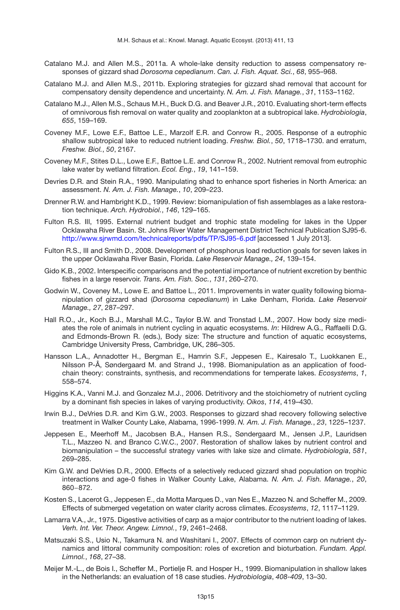- <span id="page-14-9"></span>Catalano M.J. and Allen M.S., 2011a. A whole-lake density reduction to assess compensatory responses of gizzard shad *Dorosoma cepedianum*. *Can. J. Fish. Aquat. Sci.*, *68*, 955–968.
- <span id="page-14-5"></span>Catalano M.J. and Allen M.S., 2011b. Exploring strategies for gizzard shad removal that account for compensatory density dependence and uncertainty. *N. Am. J. Fish. Manage.*, *31*, 1153–1162.
- <span id="page-14-14"></span>Catalano M.J., Allen M.S., Schaus M.H., Buck D.G. and Beaver J.R., 2010. Evaluating short-term effects of omnivorous fish removal on water quality and zooplankton at a subtropical lake. *Hydrobiologia*, *655*, 159–169.
- <span id="page-14-13"></span>Coveney M.F., Lowe E.F., Battoe L.E., Marzolf E.R. and Conrow R., 2005. Response of a eutrophic shallow subtropical lake to reduced nutrient loading. *Freshw. Biol.*, *50*, 1718–1730. and erratum, *Freshw. Biol.*, *50*, 2167.
- <span id="page-14-12"></span>Coveney M.F., Stites D.L., Lowe E.F., Battoe L.E. and Conrow R., 2002. Nutrient removal from eutrophic lake water by wetland filtration. *Ecol. Eng.*, *19*, 141–159.
- <span id="page-14-18"></span>Devries D.R. and Stein R.A., 1990. Manipulating shad to enhance sport fisheries in North America: an assessment. *N. Am. J. Fish. Manage.*, *10*, 209–223.
- <span id="page-14-3"></span>Drenner R.W. and Hambright K.D., 1999. Review: biomanipulation of fish assemblages as a lake restoration technique. *Arch. Hydrobiol.*, *146*, 129–165.
- Fulton R.S. III, 1995. External nutrient budget and trophic state modeling for lakes in the Upper Ocklawaha River Basin. St. Johns River Water Management District Technical Publication SJ95-6. <http://www.sjrwmd.com/technicalreports/pdfs/TP/SJ95-6.pdf> [accessed 1 July 2013].
- <span id="page-14-11"></span>Fulton R.S., III and Smith D., 2008. Development of phosphorus load reduction goals for seven lakes in the upper Ocklawaha River Basin, Florida. *Lake Reservoir Manage., 24*, 139–154.
- <span id="page-14-7"></span>Gido K.B., 2002. Interspecific comparisons and the potential importance of nutrient excretion by benthic fishes in a large reservoir. *Trans. Am. Fish. Soc.*, *131*, 260–270.
- <span id="page-14-8"></span>Godwin W., Coveney M., Lowe E. and Battoe L., 2011. Improvements in water quality following biomanipulation of gizzard shad (*Dorosoma cepedianum*) in Lake Denham, Florida. *Lake Reservoir Manage., 27*, 287–297.
- <span id="page-14-4"></span>Hall R.O., Jr., Koch B.J., Marshall M.C., Taylor B.W. and Tronstad L.M., 2007. How body size mediates the role of animals in nutrient cycling in aquatic ecosystems. *In*: Hildrew A.G., Raffaelli D.G. and Edmonds-Brown R. (eds.), Body size: The structure and function of aquatic ecosystems, Cambridge University Press, Cambridge, UK, 286–305.
- <span id="page-14-6"></span>Hansson L.A., Annadotter H., Bergman E., Hamrin S.F., Jeppesen E., Kairesalo T., Luokkanen E., Nilsson P-Å, Søndergaard M. and Strand J., 1998. Biomanipulation as an application of foodchain theory: constraints, synthesis, and recommendations for temperate lakes. *Ecosystems*, *1*, 558–574.
- <span id="page-14-10"></span>Higgins K.A., Vanni M.J. and Gonzalez M.J., 2006. Detritivory and the stoichiometry of nutrient cycling by a dominant fish species in lakes of varying productivity. *Oikos*, *114*, 419–430.
- <span id="page-14-19"></span>Irwin B.J., DeVries D.R. and Kim G.W., 2003. Responses to gizzard shad recovery following selective treatment in Walker County Lake, Alabama, 1996-1999. *N. Am. J. Fish. Manage.*, *23*, 1225–1237.
- <span id="page-14-16"></span>Jeppesen E., Meerhoff M., Jacobsen B.A., Hansen R.S., Søndergaard M., Jensen J.P., Lauridsen T.L., Mazzeo N. and Branco C.W.C., 2007. Restoration of shallow lakes by nutrient control and biomanipulation – the successful strategy varies with lake size and climate. *Hydrobiologia*, *581*, 269–285.
- <span id="page-14-15"></span>Kim G.W. and DeVries D.R., 2000. Effects of a selectively reduced gizzard shad population on trophic interactions and age-0 fishes in Walker County Lake, Alabama. *N. Am. J. Fish. Manage.*, *20*, 860−872.
- <span id="page-14-17"></span>Kosten S., Lacerot G., Jeppesen E., da Motta Marques D., van Nes E., Mazzeo N. and Scheffer M., 2009. Effects of submerged vegetation on water clarity across climates. *Ecosystems*, *12*, 1117–1129.
- <span id="page-14-1"></span>Lamarra V.A., Jr., 1975. Digestive activities of carp as a major contributor to the nutrient loading of lakes. *Verh. Int. Ver. Theor. Angew. Limnol.*, *19*, 2461–2468.
- <span id="page-14-2"></span>Matsuzaki S.S., Usio N., Takamura N. and Washitani I., 2007. Effects of common carp on nutrient dynamics and littoral community composition: roles of excretion and bioturbation. *Fundam. Appl. Limnol.*, *168*, 27–38.
- <span id="page-14-0"></span>Meijer M.-L., de Bois I., Scheffer M., Portielje R. and Hosper H., 1999. Biomanipulation in shallow lakes in the Netherlands: an evaluation of 18 case studies. *Hydrobiologia*, *408-409*, 13–30.